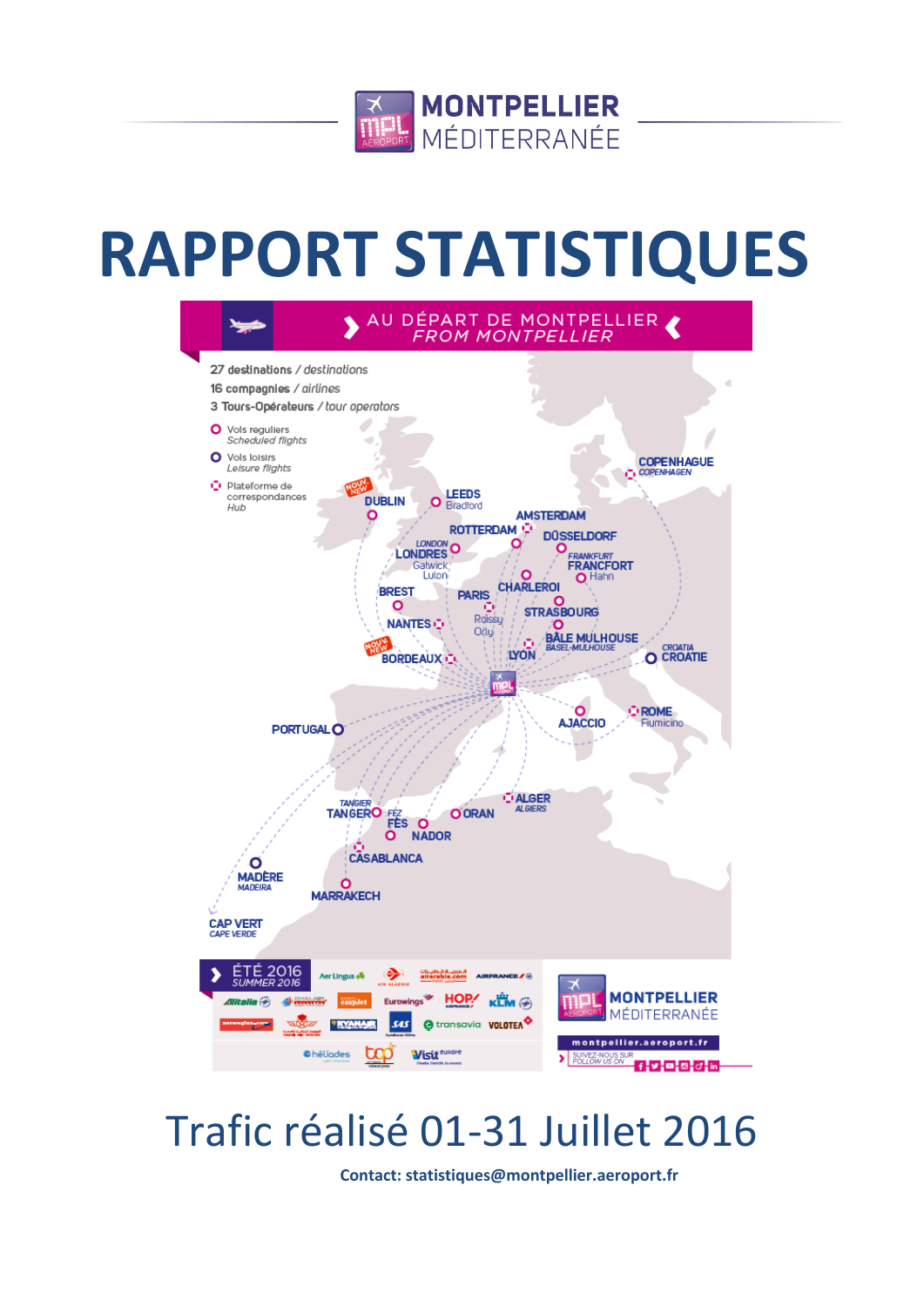

# **RAPPORT STATISTIQUES**



# Trafic réalisé 01-31 Juillet 2016

**Contact: statistiques@montpellier.aeroport.fr**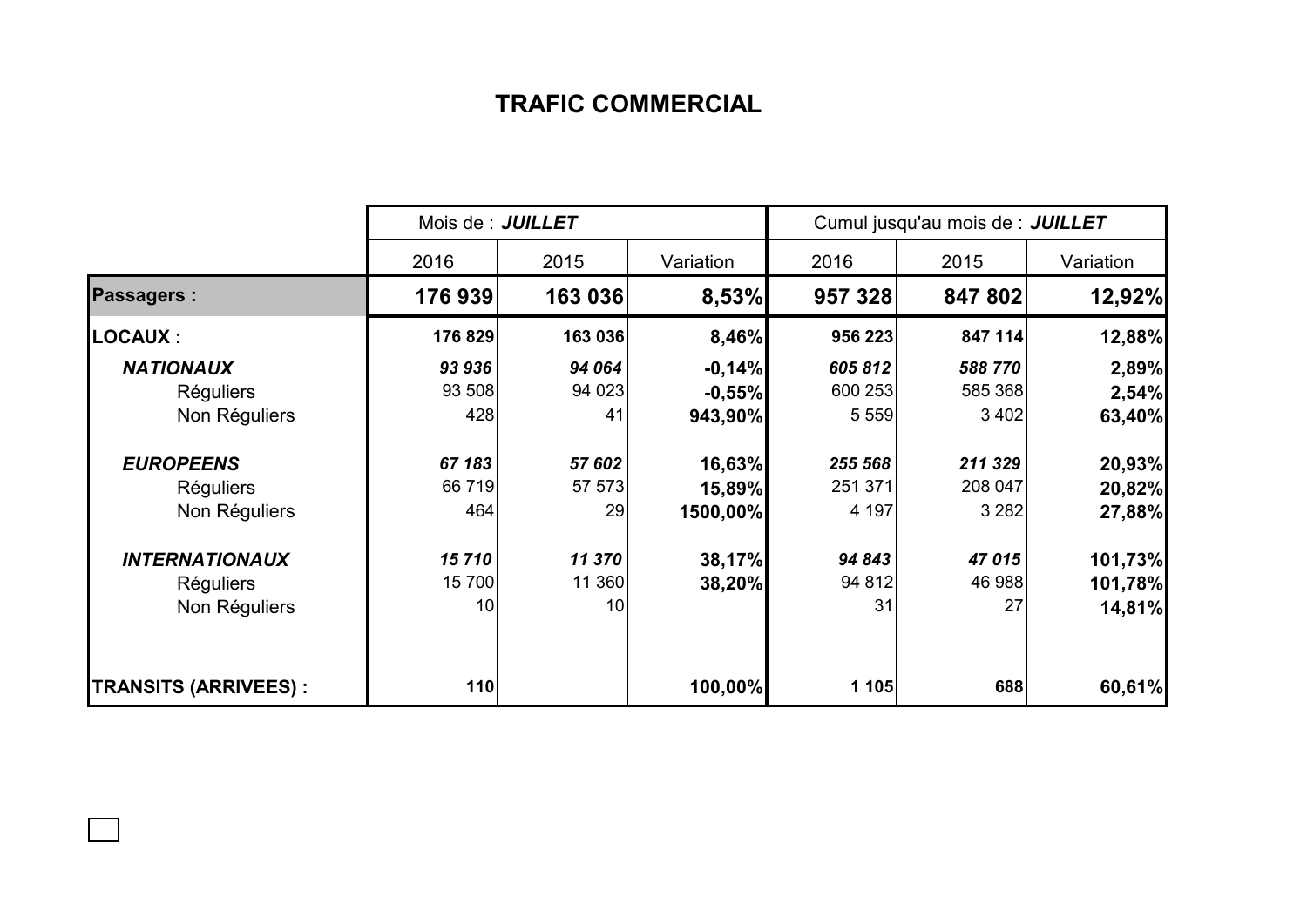## **TRAFIC COMMERCIAL**

|                             | Mois de : JUILLET |         |           | Cumul jusqu'au mois de : JUILLET |         |           |  |
|-----------------------------|-------------------|---------|-----------|----------------------------------|---------|-----------|--|
|                             | 2016              | 2015    | Variation | 2016                             | 2015    | Variation |  |
| <b>Passagers:</b>           | 176939            | 163 036 | 8,53%     | 957 328                          | 847 802 | 12,92%    |  |
| <b>LOCAUX:</b>              | 176 829           | 163 036 | 8,46%     | 956 223                          | 847 114 | 12,88%    |  |
| <b>NATIONAUX</b>            | 93 936            | 94 064  | $-0,14%$  | 605812                           | 588770  | 2,89%     |  |
| <b>Réguliers</b>            | 93 508            | 94 0 23 | $-0,55%$  | 600 253                          | 585 368 | 2,54%     |  |
| Non Réguliers               | 428               | 41      | 943,90%   | 5 5 5 9                          | 3 4 0 2 | 63,40%    |  |
| <b>EUROPEENS</b>            | 67 183            | 57 602  | 16,63%    | 255 568                          | 211 329 | 20,93%    |  |
| <b>Réguliers</b>            | 66 719            | 57 573  | 15,89%    | 251 371                          | 208 047 | 20,82%    |  |
| Non Réguliers               | 464               | 29      | 1500,00%  | 4 197                            | 3 2 8 2 | 27,88%    |  |
| <b>INTERNATIONAUX</b>       | 15710             | 11 370  | 38,17%    | 94 843                           | 47 015  | 101,73%   |  |
| <b>Réguliers</b>            | 15700             | 11 360  | 38,20%    | 94 812                           | 46 988  | 101,78%   |  |
| Non Réguliers               | 10                | 10      |           | 31                               | 27      | 14,81%    |  |
| <b>TRANSITS (ARRIVEES):</b> | 110               |         | 100,00%   | 1 105                            | 688     | 60,61%    |  |

 $\Box$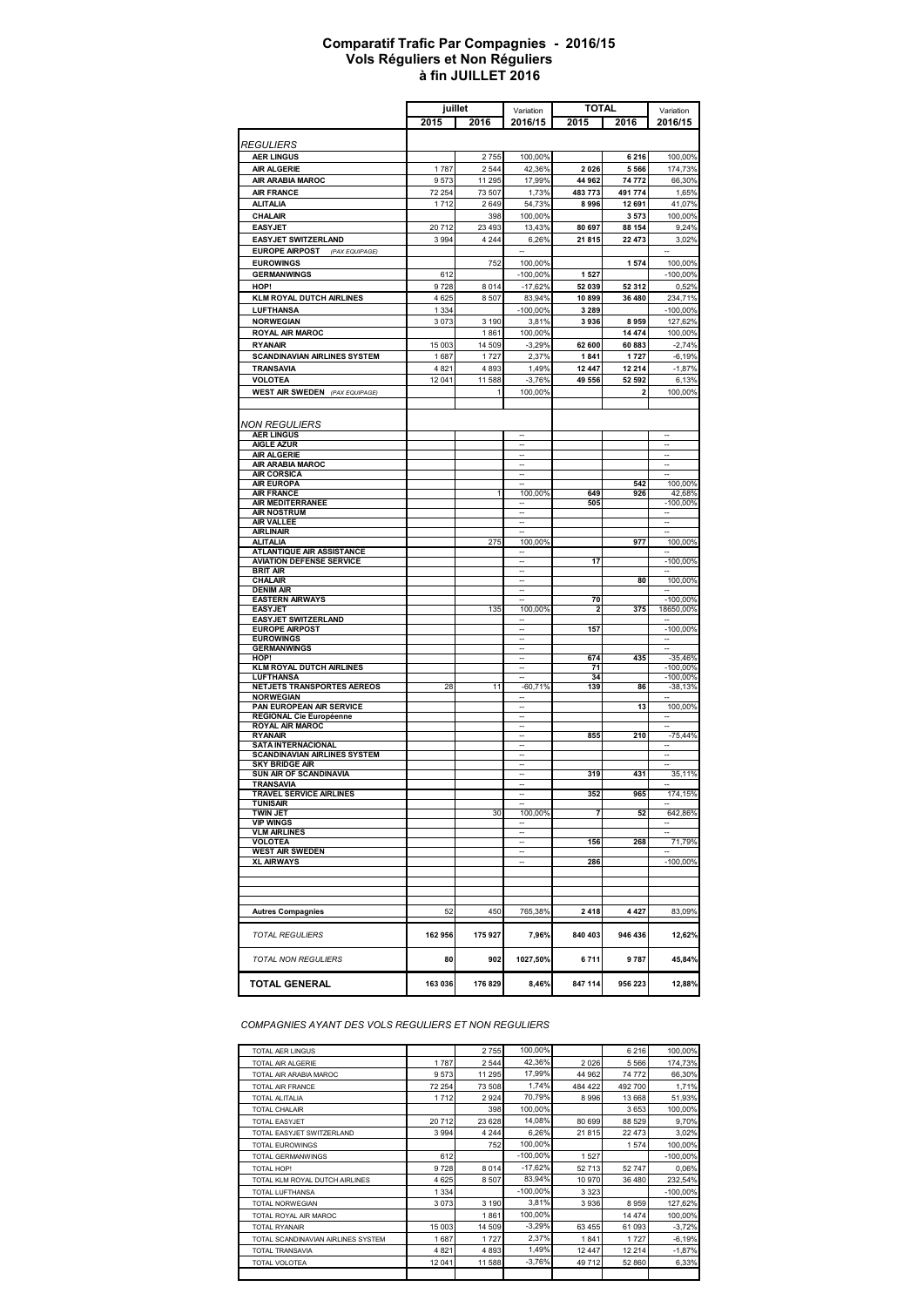#### **à fin JUILLET 2016 Comparatif Trafic Par Compagnies - 2016/15 Vols Réguliers et Non Réguliers**

|                                                          | juillet       |                    | Variation                      | TOTAL           |                  | Variation                |
|----------------------------------------------------------|---------------|--------------------|--------------------------------|-----------------|------------------|--------------------------|
|                                                          | 2015          | 2016               | 2016/15                        | 2015            | 2016             | 2016/15                  |
|                                                          |               |                    |                                |                 |                  |                          |
| <i>REGULIERS</i>                                         |               |                    |                                |                 |                  |                          |
| <b>AER LINGUS</b>                                        |               | 2755               | 100,00%                        |                 | 6 2 1 6          | 100,00%                  |
| <b>AIR ALGERIE</b>                                       | 1787          | 2 5 4 4            | 42,36%                         | 2026            | 5 5 6 6          | 174,73%                  |
| AIR ARABIA MAROC                                         | 9573          | 11 295             | 17,99%                         | 44 962          | 74 772           | 66,30%                   |
| <b>AIR FRANCE</b>                                        | 72 254        | 73 507             | 1,73%                          | 483773          | 491 774          | 1,65%                    |
| ALITALIA                                                 | 1712          | 2649               | 54,73%                         | 8996            | 12 691           | 41,07%                   |
| CHALAIR                                                  |               | 398                | 100,00%                        |                 | 3573             | 100,00%                  |
| <b>EASYJET</b><br><b>EASYJET SWITZERLAND</b>             | 20712<br>3994 | 23 4 93<br>4 2 4 4 | 13,43%<br>6,26%                | 80 697<br>21815 | 88 154<br>22 473 | 9,24%<br>3,02%           |
| <b>EUROPE AIRPOST</b><br>(PAX EQUIPAGE)                  |               |                    |                                |                 |                  |                          |
| <b>EUROWINGS</b>                                         |               | 752                | 100,00%                        |                 | 1574             | 100,00%                  |
| <b>GERMANWINGS</b>                                       | 612           |                    | $-100,00%$                     | 1527            |                  | $-100,00%$               |
| HOP!                                                     | 9728          | 8014               | $-17,62%$                      | 52 039          | 52 312           | 0,52%                    |
| <b>KLM ROYAL DUTCH AIRLINES</b>                          | 4625          | 8507               | 83,94%                         | 10899           | 36 480           | 234,71%                  |
| <b>LUFTHANSA</b>                                         | 1 3 3 4       |                    | $-100,00%$                     | 3 2 8 9         |                  | $-100,00%$               |
| <b>NORWEGIAN</b>                                         | 3073          | 3 1 9 0            | 3,81%                          | 3936            | 8959             | 127,62%                  |
| <b>ROYAL AIR MAROC</b>                                   |               | 1861               | 100,00%                        |                 | 14 474           | 100,00%                  |
| <b>RYANAIR</b>                                           | 15 003        | 14 509             | $-3,29%$                       | 62 600          | 60883            | $-2,74%$                 |
| <b>SCANDINAVIAN AIRLINES SYSTEM</b>                      | 1687          | 1727               | 2,37%                          | 1841            | 1727             | $-6,19%$                 |
| <b>TRANSAVIA</b>                                         | 4821          | 4893               | 1,49%                          | 12 447          | 12 214           | $-1,87%$                 |
| <b>VOLOTEA</b>                                           | 12 041        | 11 588             | $-3,76%$                       | 49 556          | 52 592           | 6,13%                    |
| <b>WEST AIR SWEDEN</b> (PAX EQUIPAGE)                    |               | 1                  | 100,00%                        |                 | 2                | 100,00%                  |
|                                                          |               |                    |                                |                 |                  |                          |
| <b>NON REGULIERS</b>                                     |               |                    |                                |                 |                  |                          |
| <b>AER LINGUS</b>                                        |               |                    |                                |                 |                  |                          |
| <b>AIGLE AZUR</b><br><b>AIR ALGERIE</b>                  |               |                    |                                |                 |                  | ÷.<br>ä.                 |
| <b>AIR ARABIA MAROC</b>                                  |               |                    |                                |                 |                  | $\overline{\phantom{a}}$ |
| <b>AIR CORSICA</b>                                       |               |                    |                                |                 |                  |                          |
| <b>AIR EUROPA</b>                                        |               |                    |                                |                 | 542              | 100,00%                  |
| <b>AIR FRANCE</b><br><b>AIR MEDITERRANEE</b>             |               | 1                  | 100,00%                        | 649<br>505      | 926              | 42,68%<br>$-100,00%$     |
| <b>AIR NOSTRUM</b>                                       |               |                    |                                |                 |                  |                          |
| <b>AIR VALLEE</b>                                        |               |                    | $\overline{\phantom{a}}$       |                 |                  | $\overline{\phantom{a}}$ |
| <b>AIRLINAIR</b>                                         |               |                    |                                |                 |                  |                          |
| <b>ALITALIA</b><br><b>ATLANTIQUE AIR ASSISTANCE</b>      |               | 275                | 100,00%                        |                 | 977              | 100,00%                  |
| <b>AVIATION DEFENSE SERVICE</b>                          |               |                    |                                | 17              |                  | $-100,00%$               |
| <b>BRIT AIR</b>                                          |               |                    |                                |                 |                  |                          |
| <b>CHALAIR</b><br><b>DENIM AIR</b>                       |               |                    |                                |                 | 80               | 100,00%                  |
| <b>EASTERN AIRWAYS</b>                                   |               |                    |                                | 70              |                  | $-100,00%$               |
| <b>EASYJET</b>                                           |               | 135                | 100,00%                        | 2               | 375              | 18650,00%                |
| <b>EASYJET SWITZERLAND</b>                               |               |                    |                                |                 |                  |                          |
| <b>EUROPE AIRPOST</b><br><b>EUROWINGS</b>                |               |                    |                                | 157             |                  | $-100,00%$<br>--         |
| <b>GERMANWINGS</b>                                       |               |                    | $\overline{\phantom{a}}$       |                 |                  | $\overline{\phantom{a}}$ |
| HOP!                                                     |               |                    | $\overline{\phantom{a}}$       | 674             | 435              | -35,46%                  |
| <b>KLM ROYAL DUTCH AIRLINES</b>                          |               |                    | ц,                             | 71              |                  | $-100,00%$               |
| LUFTHANSA<br>NETJETS TRANSPORTES AEREOS                  | 28            | 11                 | $-60,71%$                      | 34<br>139       | 86               | $-100,00%$<br>$-38,13%$  |
| <b>NORWEGIAN</b>                                         |               |                    |                                |                 |                  |                          |
| PAN EUROPEAN AIR SERVICE                                 |               |                    |                                |                 | 13               | 100,00%                  |
| <b>REGIONAL Cie Européenne</b><br><b>ROYAL AIR MAROC</b> |               |                    |                                |                 |                  |                          |
| <b>RYANAIR</b>                                           |               |                    |                                | 855             | 210              | $-75,44%$                |
| <b>SATA INTERNACIONAL</b>                                |               |                    |                                |                 |                  |                          |
| <b>SCANDINAVIAN AIRLINES SYSTEM</b>                      |               |                    |                                |                 |                  |                          |
| <b>SKY BRIDGE AIR</b><br>SUN AIR OF SCANDINAVIA          |               |                    | $\overline{\phantom{a}}$<br>н, | 319             | 431              | $\sim$<br>35,11%         |
| TRANSAVIA                                                |               |                    | $\overline{\phantom{a}}$       |                 |                  |                          |
| TRAVEL SERVICE AIRLINES                                  |               |                    |                                | 352             | 965              | 174,15%                  |
| <b>TUNISAIR</b><br><b>TWIN JET</b>                       |               | 30                 | 100,00%                        | 7               | 52               | 642,86%                  |
| <b>VIP WINGS</b>                                         |               |                    |                                |                 |                  |                          |
| <b>VLM AIRLINES</b>                                      |               |                    |                                |                 |                  |                          |
| VOLOTEA                                                  |               |                    |                                | 156             | 268              | 71,79%                   |
| <b>WEST AIR SWEDEN</b><br><b>XL AIRWAYS</b>              |               |                    |                                | 286             |                  | $-100,00%$               |
|                                                          |               |                    |                                |                 |                  |                          |
|                                                          |               |                    |                                |                 |                  |                          |
|                                                          |               |                    |                                |                 |                  |                          |
| <b>Autres Compagnies</b>                                 | 52            | 450                | 765,38%                        | 2418            | 4 4 2 7          | 83,09%                   |
|                                                          |               |                    |                                |                 |                  |                          |
| <b>TOTAL REGULIERS</b>                                   | 162 956       | 175927             | 7,96%                          | 840 403         | 946 436          | 12,62%                   |
| <b>TOTAL NON REGULIERS</b>                               | 80            | 902                | 1027,50%                       | 6711            | 9787             | 45,84%                   |
| <b>TOTAL GENERAL</b>                                     | 163 036       | 176829             | 8,46%                          | 847 114         | 956 223          | 12,88%                   |

*COMPAGNIES AYANT DES VOLS REGULIERS ET NON REGULIERS*

| TOTAL AER LINGUS                   |         | 2755    | 100,00%     |          | 6 2 1 6  | 100,00%    |
|------------------------------------|---------|---------|-------------|----------|----------|------------|
| TOTAL AIR ALGERIE                  | 1787    | 2544    | 42,36%      | 2026     | 5 5 6 6  | 174,73%    |
| TOTAL AIR ARABIA MAROC             | 9573    | 11 295  | 17,99%      | 44 962   | 74 772   | 66,30%     |
| TOTAL AIR FRANCE                   | 72 254  | 73 508  | 1.74%       | 484 422  | 492 700  | 1,71%      |
| TOTAL ALITALIA                     | 1712    | 2924    | 70,79%      | 8996     | 13 668   | 51,93%     |
| <b>TOTAL CHALAIR</b>               |         | 398     | 100.00%     |          | 3653     | 100.00%    |
| <b>TOTAL EASYJET</b>               | 20712   | 23 6 28 | 14,08%      | 80 699   | 88 529   | 9,70%      |
| TOTAL EASYJET SWITZERLAND          | 3994    | 4 2 4 4 | 6,26%       | 21815    | 22 473   | 3,02%      |
| <b>TOTAL EUROWINGS</b>             |         | 752     | 100,00%     |          | 1574     | 100,00%    |
| TOTAL GERMANWINGS                  | 612     |         | $-100.00\%$ | 1527     |          | $-100,00%$ |
| TOTAL HOP!                         | 9728    | 8014    | $-17,62%$   | 52713    | 52747    | 0,06%      |
| TOTAL KLM ROYAL DUTCH AIRLINES     | 4625    | 8507    | 83,94%      | 10970    | 36 480   | 232,54%    |
| TOTAL LUFTHANSA                    | 1 3 3 4 |         | $-100,00%$  | 3 3 2 3  |          | $-100,00%$ |
| <b>TOTAL NORWEGIAN</b>             | 3073    | 3 1 9 0 | 3,81%       | 3936     | 8959     | 127,62%    |
| TOTAL ROYAL AIR MAROC              |         | 1861    | 100,00%     |          | 14 4 7 4 | 100,00%    |
| <b>TOTAL RYANAIR</b>               | 15 003  | 14 509  | $-3,29%$    | 63 455   | 61 093   | $-3,72%$   |
| TOTAL SCANDINAVIAN AIRLINES SYSTEM | 1687    | 1727    | 2,37%       | 1841     | 1727     | $-6,19%$   |
| TOTAL TRANSAVIA                    | 4821    | 4893    | 1,49%       | 12 4 4 7 | 12 2 14  | $-1,87%$   |
| TOTAL VOLOTEA                      | 12 041  | 11 588  | $-3.76%$    | 49712    | 52 860   | 6,33%      |
|                                    |         |         |             |          |          |            |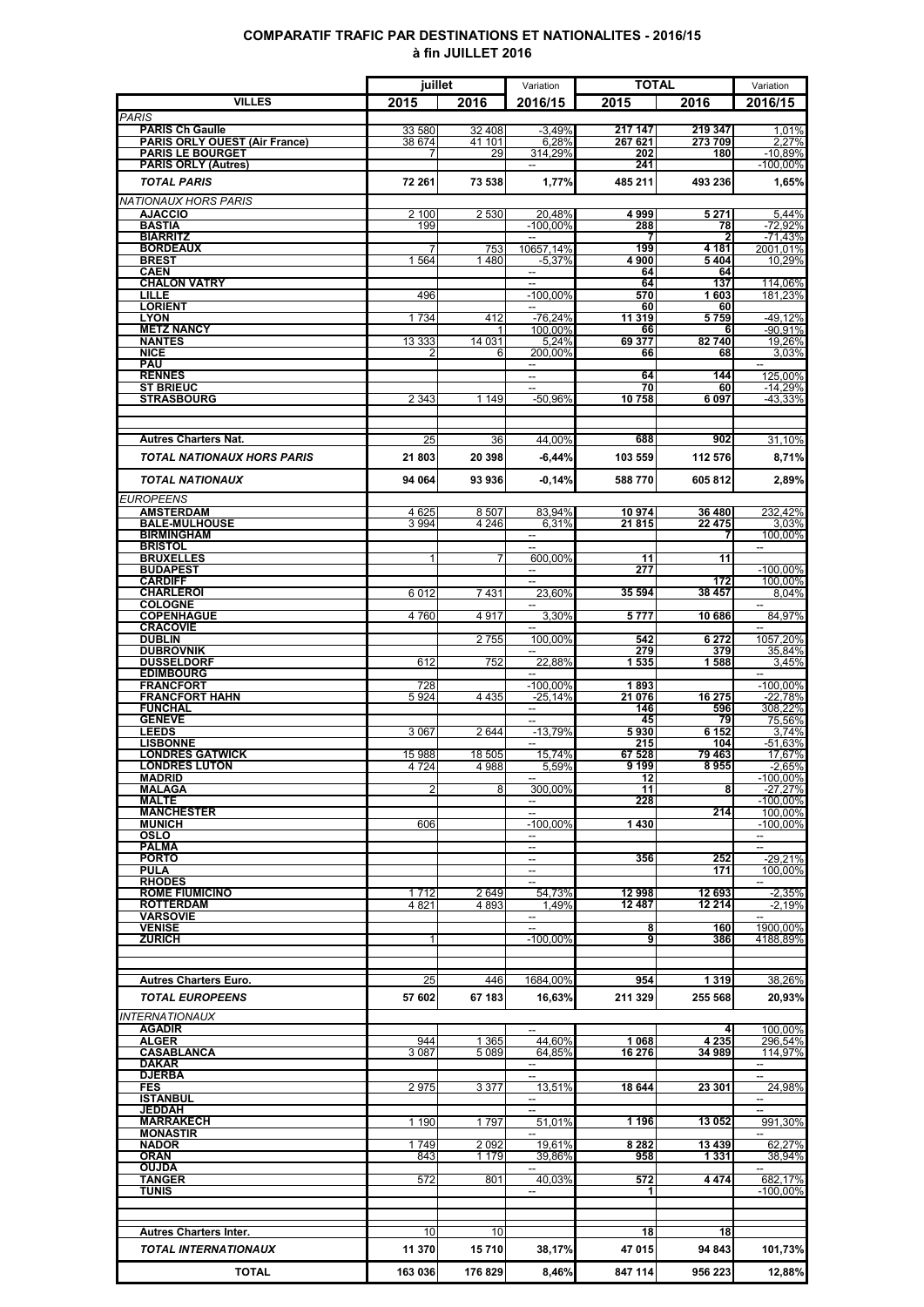### **COMPARATIF TRAFIC PAR DESTINATIONS ET NATIONALITES - 2016/15 à fin JUILLET 2016**

|                                                                | juillet           |                  | Variation                               | <b>TOTAL</b>       |                   | Variation                                  |
|----------------------------------------------------------------|-------------------|------------------|-----------------------------------------|--------------------|-------------------|--------------------------------------------|
| <b>VILLES</b>                                                  | 2015              | 2016             | 2016/15                                 | 2015               | 2016              | 2016/15                                    |
| <b>PARIS</b>                                                   |                   |                  |                                         |                    |                   |                                            |
| <b>PARIS Ch Gaulle</b><br><b>PARIS ORLY OUEST (Air France)</b> | 33 580<br>38 674  | 32 408<br>41 101 | $-3,49%$<br>6.28%                       | 217 147<br>267 621 | 219 347<br>273709 | 1,01%<br>2.27%                             |
| <b>PARIS LE BOURGET</b>                                        | 7                 | 29               | 314,29%                                 | 202                | 180               | $-10,89%$                                  |
| <b>PARIS ORLY (Autres)</b>                                     |                   |                  |                                         | 241                |                   | $-100,00%$                                 |
| <b>TOTAL PARIS</b>                                             | 72 261            | 73 538           | 1,77%                                   | 485 211            | 493 236           | 1,65%                                      |
| <b>NATIONAUX HORS PARIS</b>                                    |                   |                  |                                         |                    |                   |                                            |
| <b>AJACCIO</b>                                                 | 2 100             | 2 5 3 0          | 20,48%                                  | 4999               | 5 2 7 1           | 5,44%                                      |
| <b>BASTIA</b><br><b>BIARRITZ</b>                               | 199               |                  | $-100.00\%$                             | 288                | 78                | $-72.92%$<br>$-71,43%$                     |
| <b>BORDEAUX</b>                                                |                   | 753              | 10657.14%                               | 199                | 4 1 8 1           | 2001,01%                                   |
| <b>BREST</b>                                                   | 1 5 6 4           | 1480             | $-5,37%$                                | 4900               | 5404              | 10,29%                                     |
| <b>CAEN</b><br><b>CHALON VATRY</b>                             |                   |                  | $\sim$                                  | 64                 | 64                | 114,06%                                    |
| LILLE                                                          | 496               |                  | $-100.00\%$                             | 64<br>570          | 137<br>1603       | 181,23%                                    |
| <b>LORIENT</b>                                                 |                   |                  |                                         | 60                 | 60                |                                            |
| <b>LYON</b><br><b>METZ NANCY</b>                               | 1734              | 412              | $-76,24%$                               | 11 319             | 5759              | $-49,12%$                                  |
| <b>NANTES</b>                                                  | 13 3 3 3          | 14 0 31          | 100,00%<br>5,24%                        | 66<br>69 377       | 82740             | -90,91%<br>19,26%                          |
| <b>NICE</b>                                                    |                   | 6                | 200,00%                                 | 66                 | 68                | 3,03%                                      |
| <b>PAU</b>                                                     |                   |                  | $\overline{\phantom{a}}$                |                    |                   | $\overline{\phantom{a}}$                   |
| <b>RENNES</b><br><b>ST BRIEUC</b>                              |                   |                  | --<br>$\overline{a}$                    | 64<br>70           | 144<br>60         | 125,00%<br>$-14,29%$                       |
| <b>STRASBOURG</b>                                              | 2 3 4 3           | 1 1 4 9          | -50,96%                                 | 10758              | 6097              | -43,33%                                    |
|                                                                |                   |                  |                                         |                    |                   |                                            |
|                                                                |                   |                  |                                         |                    |                   |                                            |
| <b>Autres Charters Nat.</b>                                    | 25                | 36               | 44.00%                                  | 688                | 902               | 31,10%                                     |
| <b>TOTAL NATIONAUX HORS PARIS</b>                              | 21803             | 20 398           | -6,44%                                  | 103 559            | 112 576           | 8,71%                                      |
| <b>TOTAL NATIONAUX</b>                                         | 94 064            | 93936            | $-0.14%$                                | 588770             | 605812            | 2,89%                                      |
|                                                                |                   |                  |                                         |                    |                   |                                            |
| <b>EUROPEENS</b><br><b>AMSTERDAM</b>                           |                   | 8507             | 83,94%                                  | 10974              | 36 480            | 232.42%                                    |
| <b>BALE-MULHOUSE</b>                                           | 4 6 25<br>3 9 9 4 | 4 2 4 6          | 6.31%                                   | 21815              | 22 4 7 5          | 3.03%                                      |
| <b>BIRMINGHAM</b>                                              |                   |                  |                                         |                    |                   | 100,00%                                    |
| <b>BRISTOL</b><br><b>BRUXELLES</b>                             |                   |                  | 600,00%                                 | 11                 | 11                |                                            |
| <b>BUDAPEST</b>                                                |                   |                  |                                         | 277                |                   | $-100,00\%$                                |
| <b>CARDIFF</b>                                                 |                   |                  |                                         |                    | 172               | 100.00%                                    |
| <b>CHARLEROI</b>                                               | 6012              | 7431             | 23.60%                                  | 35 594             | 38 457            | 8.04%                                      |
| <b>COLOGNE</b><br><b>COPENHAGUE</b>                            | 4760              | 4917             | 3.30%                                   | 5777               | 10 686            | 84,97%                                     |
| <b>CRACOVIE</b>                                                |                   |                  |                                         |                    |                   |                                            |
| <b>DUBLIN</b>                                                  |                   | 2755             | 100.00%                                 | 542                | 6 2 7 2           | 1057,20%                                   |
| <b>DUBROVNIK</b><br><b>DUSSELDORF</b>                          | 612               | 752              | 22.88%                                  | 279<br>1535        | 379<br>1588       | 35,84%<br>3.45%                            |
| <b>EDIMBOURG</b>                                               |                   |                  |                                         |                    |                   |                                            |
| <b>FRANCFORT</b>                                               | 728               |                  | $-100,00\%$                             | 1893               |                   | $-100,00\%$                                |
| <b>FRANCFORT HAHN</b><br><b>FUNCHAL</b>                        | 5924              | 4 4 3 5          | $-25,14%$<br>$\overline{\phantom{a}}$   | 21 076<br>146      | 16 275<br>596     | -22,78%<br>308,22%                         |
| <b>GENEVE</b>                                                  |                   |                  |                                         | 45                 | 79                | 75,56%                                     |
| <b>LEEDS</b>                                                   | 3 0 6 7           | 2644             | $-13,79%$                               | 5930               | 6 1 5 2           | 3,74%                                      |
| <b>LISBONNE</b><br><b>LONDRES GATWICK</b>                      | 15 988            | 18 505           | 15,74%                                  | 215<br>67 528      | 104<br>79 463     | -51,63%<br>17.67%                          |
| <b>LONDRES LUTON</b>                                           | 4 7 2 4           | 4988             | 5.59%                                   | 9199               | 8955              | $-2,65%$                                   |
| MADRID                                                         |                   |                  | $\overline{\phantom{a}}$                | 12                 |                   | $-100,00\%$                                |
| <b>MALAGA</b><br>MALTE                                         | 2                 | 8                | 300.00%<br>--                           | 11<br>228          | 8                 | $-27.27%$<br>$-100.00\%$                   |
| <b>MANCHESTER</b>                                              |                   |                  |                                         |                    | 214               | 100,00%                                    |
| <b>MUNICH</b>                                                  | 606               |                  | $-100,00\%$                             | 1430               |                   | $-100,00\%$                                |
| <b>OSLO</b><br><b>PALMA</b>                                    |                   |                  | $\overline{\phantom{a}}$                |                    |                   |                                            |
| <b>PORTO</b>                                                   |                   |                  | $\sim$                                  | 356                | 252               | $-29,21%$                                  |
| <b>PULA</b>                                                    |                   |                  | --                                      |                    | 171               | 100.00%                                    |
| <b>RHODES</b><br><b>ROME FIUMICINO</b>                         | 1712              | 2649             | 54,73%                                  | 12 998             | 12 693            | $-2,35%$                                   |
| <b>ROTTERDAM</b>                                               | 4821              | 4 8 9 3          | 1.49%                                   | 12 487             | 12 214            | $-2,19%$                                   |
| <b>VARSOVIE</b>                                                |                   |                  |                                         |                    |                   |                                            |
| <b>VENISE</b><br><b>ZURICH</b>                                 | 1                 |                  | $\overline{\phantom{a}}$<br>$-100,00\%$ | 8<br>9             | 160<br>386        | 1900,00%                                   |
|                                                                |                   |                  |                                         |                    |                   | 4188,89%                                   |
|                                                                |                   |                  |                                         |                    |                   |                                            |
| <b>Autres Charters Euro.</b>                                   | 25                | 446              | 1684,00%                                | 954                | 1 3 1 9           | 38,26%                                     |
| <b>TOTAL EUROPEENS</b>                                         | 57 602            | 67 183           | 16,63%                                  | 211 329            | 255 568           | 20,93%                                     |
| <b>INTERNATIONAUX</b>                                          |                   |                  |                                         |                    |                   |                                            |
| <b>AGADIR</b>                                                  |                   |                  | --                                      |                    | 4                 | 100,00%                                    |
| <b>ALGER</b>                                                   | 944               | 1 3 6 5          | 44,60%                                  | 1 0 6 8            | 4 2 3 5           | 296,54%                                    |
| <b>CASABLANCA</b>                                              | 3087              | 5 0 8 9          | 64,85%                                  | 16 276             | 34 989            | 114,97%                                    |
| <b>DAKAR</b><br><b>DJERBA</b>                                  |                   |                  | $\overline{\phantom{a}}$<br>--          |                    |                   | $\overline{a}$<br>$\overline{\phantom{a}}$ |
| <b>FES</b>                                                     | 2975              | 3 3 7 7          | 13,51%                                  | 18 644             | 23 301            | 24,98%                                     |
| <b>ISTANBUL</b>                                                |                   |                  |                                         |                    |                   |                                            |
| <b>JEDDAH</b><br><b>MARRAKECH</b>                              | 1 1 9 0           | 1797             | 51,01%                                  | 1 196              | 13 052            | 991,30%                                    |
| <b>MONASTIR</b>                                                |                   |                  |                                         |                    |                   |                                            |
| <b>NADOR</b>                                                   | 1749              | 2 0 9 2          | 19,61%                                  | 8 2 8 2            | 13 439            | 62,27%                                     |
| <b>ORAN</b><br>OUJDA                                           | 843               | 1 179            | 39,86%                                  | 958                | 1 3 3 1           | 38,94%                                     |
| TANGER                                                         | 572               | 801              | 40,03%                                  | 572                | 4474              | 682,17%                                    |
| <b>TUNIS</b>                                                   |                   |                  |                                         |                    |                   | -100,00%                                   |
|                                                                |                   |                  |                                         |                    |                   |                                            |
|                                                                |                   |                  |                                         | 18                 |                   |                                            |
| <b>Autres Charters Inter.</b>                                  | 10                | 10               |                                         |                    | 18                |                                            |
| TOTAL INTERNATIONAUX                                           | 11 370            | 15710            | 38,17%                                  | 47 015             | 94 843            | 101,73%                                    |
| <b>TOTAL</b>                                                   | 163 036           | 176 829          | 8,46%                                   | 847 114            | 956 223           | 12,88%                                     |